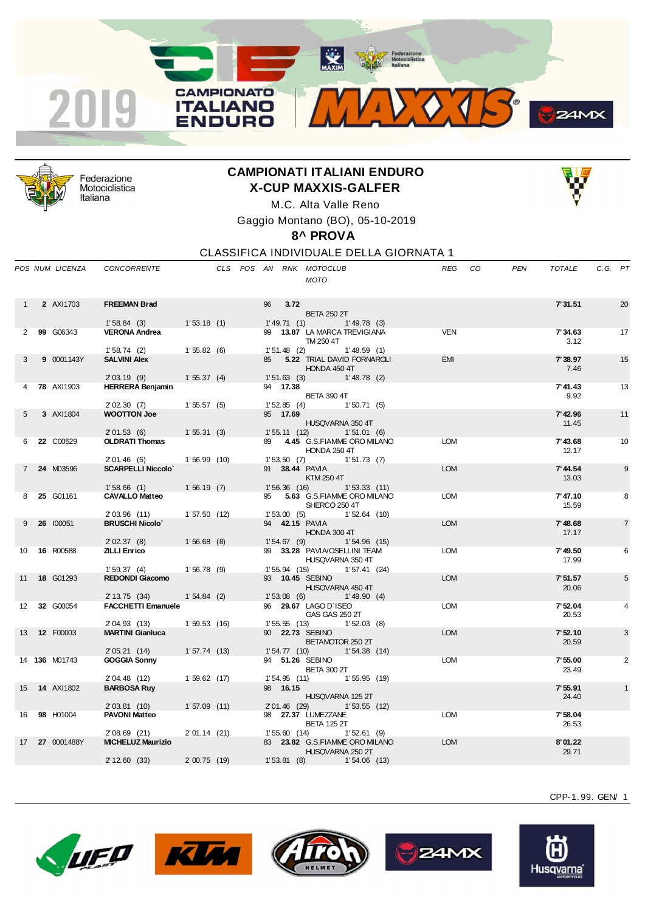



Federazione Motociclistica Italiana

## **CAMPIONATI ITALIANI ENDURO X-CUP MAXXIS-GALFER**



M.C. Alta Valle Reno Gaggio Montano (BO), 05-10-2019

**8^ PROVA**

CLASSIFICA INDIVIDUALE DELLA GIORNATA 1

|                   | POS NUM LICENZA      | CONCORRENTE                             |                |  |    |               | CLS POS AN RNK MOTOCLUB<br><b>MOTO</b>             |                | <b>REG</b> | CO | <b>PEN</b> | TOTALE           | C.G. PT |                |
|-------------------|----------------------|-----------------------------------------|----------------|--|----|---------------|----------------------------------------------------|----------------|------------|----|------------|------------------|---------|----------------|
| 1                 | 2 AXI1703            | <b>FREEMAN Brad</b>                     |                |  | 96 | 3.72          |                                                    |                |            |    |            | 7'31.51          |         | 20             |
|                   |                      |                                         |                |  |    |               | <b>BETA 250 2T</b>                                 |                |            |    |            |                  |         |                |
|                   |                      | 1'58.84(3)                              | 1'53.18(1)     |  |    | 1' 49.71(1)   | 1'49.78(3)                                         |                |            |    |            |                  |         |                |
|                   | 99 G06343            | <b>VERONA Andrea</b>                    |                |  |    |               | 99 13.87 LA MARCA TREVIGIANA<br>TM 250 4T          |                | <b>VEN</b> |    |            | 7'34.63<br>3.12  |         | 17             |
|                   |                      | 1'58.74(2)                              | 1'55.82(6)     |  |    | $1'51.48$ (2) |                                                    | 1'48.59(1)     |            |    |            |                  |         |                |
| 3                 | 9 0001143Y           | <b>SALVINI Alex</b>                     |                |  | 85 |               | 5.22 TRIAL DAVID FORNAROLI<br>HONDA 450 4T         |                | <b>EMI</b> |    |            | 7'38.97<br>7.46  |         | 15             |
|                   |                      | 2'03.19(9)                              | 1'55.37(4)     |  |    | 1'51.63(3)    |                                                    | 1'48.78(2)     |            |    |            |                  |         |                |
|                   | <b>78 AXI1903</b>    | <b>HERRERA Benjamin</b>                 |                |  |    | 94 17.38      | <b>BETA 390 4T</b>                                 |                |            |    |            | 7' 41.43<br>9.92 |         | 13             |
|                   |                      | 2'02.30(7)                              | 1'55.57(5)     |  |    | 1'52.85(4)    |                                                    | 1'50.71(5)     |            |    |            |                  |         |                |
| 5                 | 3 AXI1804            | <b>WOOTTON Joe</b>                      |                |  |    | 95 17.69      | HUSQVARNA 350 4T                                   |                |            |    |            | 7'42.96<br>11.45 |         | 11             |
|                   |                      | 2'01.53(6)                              | 1'55.31(3)     |  |    | 1'55.11(12)   |                                                    | 1'51.01(6)     |            |    |            |                  |         |                |
| 6                 | 22 C00529            | <b>OLDRATI Thomas</b>                   |                |  | 89 |               | 4.45 G.S.FIAMME ORO MILANO<br>HONDA 250 4T         |                | <b>LOM</b> |    |            | 7'43.68<br>12.17 |         | 10             |
| $7^{\circ}$       | 24 M03596            | 2'01.46(5)<br><b>SCARPELLI Niccolo'</b> | 1'56.99(10)    |  |    | 1'53.50(7)    | 91 38.44 PAVIA                                     | 1'51.73(7)     | <b>LOM</b> |    |            | 7' 44.54         |         | 9              |
|                   |                      | 1'58.66(1)                              | 1'56.19(7)     |  |    | 1'56.36(16)   | KTM 250 4T                                         | 1'53.33(11)    |            |    |            | 13.03            |         |                |
| 8                 | 25 G01161            | <b>CAVALLO Matteo</b>                   |                |  | 95 |               | 5.63 G.S.FIAMME ORO MILANO                         |                | <b>LOM</b> |    |            | 7'47.10          |         | 8              |
|                   |                      | 2'03.96(11)                             | 1'57.50(12)    |  |    | 1'53.00(5)    | SHERCO 250 4T                                      | $1'52.64$ (10) |            |    |            | 15.59            |         |                |
| 9                 | 26 100051            | <b>BRUSCHI Nicolo'</b>                  |                |  |    |               | 94 42.15 PAVIA<br>HONDA 300 4T                     |                | <b>LOM</b> |    |            | 7'48.68<br>17.17 |         | $\overline{7}$ |
|                   |                      | 2'02.37(8)                              | $1'56.68$ (8)  |  |    | 1'54.67(9)    |                                                    | 1'54.96(15)    |            |    |            |                  |         |                |
| 10                | 16 R00588            | <b>ZILLI Enrico</b>                     |                |  |    |               | 99 33.28 PAVIA/OSELLINI TEAM<br>HUSQVARNA 350 4T   |                | <b>LOM</b> |    |            | 7'49.50<br>17.99 |         | 6              |
| 11                | 18 G01293            | 1'59.37(4)<br><b>REDONDI Giacomo</b>    | 1'56.78(9)     |  |    | 1'55.94(15)   | 93 10.45 SEBINO                                    | 1'57.41(24)    | <b>LOM</b> |    |            | 7'51.57          |         | 5              |
|                   |                      |                                         |                |  |    |               | HUSQVARNA 450 4T                                   |                |            |    |            | 20.06            |         |                |
|                   |                      | 2' 13.75 (34)                           | $1'54.84$ (2)  |  |    | 1'53.08(6)    |                                                    | 1'49.90(4)     |            |    |            |                  |         |                |
| $12 \overline{ }$ | 32 G00054            | <b>FACCHETTI Emanuele</b>               |                |  |    |               | 96 29.67 LAGO D'ISEO<br>GAS GAS 250 2T             |                | <b>LOM</b> |    |            | 7'52.04<br>20.53 |         | 4              |
|                   |                      | 2'04.93 (13)                            | 1'59.53(16)    |  |    | 1'55.55(13)   |                                                    | 1'52.03(8)     |            |    |            |                  |         |                |
| 13                | 12 F00003            | <b>MARTINI Gianluca</b>                 |                |  |    |               | 90 22.73 SEBINO<br>BETAMOTOR 250 2T                |                | <b>LOM</b> |    |            | 7'52.10<br>20.59 |         | 3              |
|                   | 14 <b>136</b> M01743 | 2'05.21(14)<br><b>GOGGIA Sonny</b>      | 1'57.74(13)    |  |    | 1'54.77(10)   | 94 51.26 SEBINO                                    | 1'54.38(14)    | LOM        |    |            | 7'55.00          |         | 2              |
|                   |                      | 2' 04.48 (12)                           | $1'59.62$ (17) |  |    | 1'54.95(11)   | <b>BETA 300 2T</b>                                 | 1'55.95(19)    |            |    |            | 23.49            |         |                |
| 15                | 14 AXI1802           | <b>BARBOSA Ruy</b>                      |                |  |    | 98 16.15      |                                                    |                |            |    |            | 7'55.91          |         | $\mathbf{1}$   |
|                   |                      | 2'03.81(10)                             | 1'57.09(11)    |  |    | 2' 01.46 (29) | HUSQVARNA 125 2T                                   | 1'53.55(12)    |            |    |            | 24.40            |         |                |
| 16                | 98 H01004            | <b>PAVONI Matteo</b>                    |                |  |    |               | 98 27.37 LUMEZZANE                                 |                | <b>LOM</b> |    |            | 7'58.04          |         |                |
|                   |                      | $2'08.69$ (21)                          | $2'01.14$ (21) |  |    | 1'55.60(14)   | <b>BETA 125 2T</b>                                 | 1'52.61(9)     |            |    |            | 26.53            |         |                |
| 17                | 27 0001488Y          | <b>MICHELUZ Maurizio</b>                |                |  |    |               | 83 23.82 G.S.FIAMME ORO MILANO<br>HUSQVARNA 250 2T |                | <b>LOM</b> |    |            | 8'01.22<br>29.71 |         |                |
|                   |                      | 2' 12.60 (33)                           | 2'00.75(19)    |  |    |               | 1'53.81 (8) 1'54.06 (13)                           |                |            |    |            |                  |         |                |
|                   |                      |                                         |                |  |    |               |                                                    |                |            |    |            |                  |         |                |











CPP-1. 99. GEN/ 1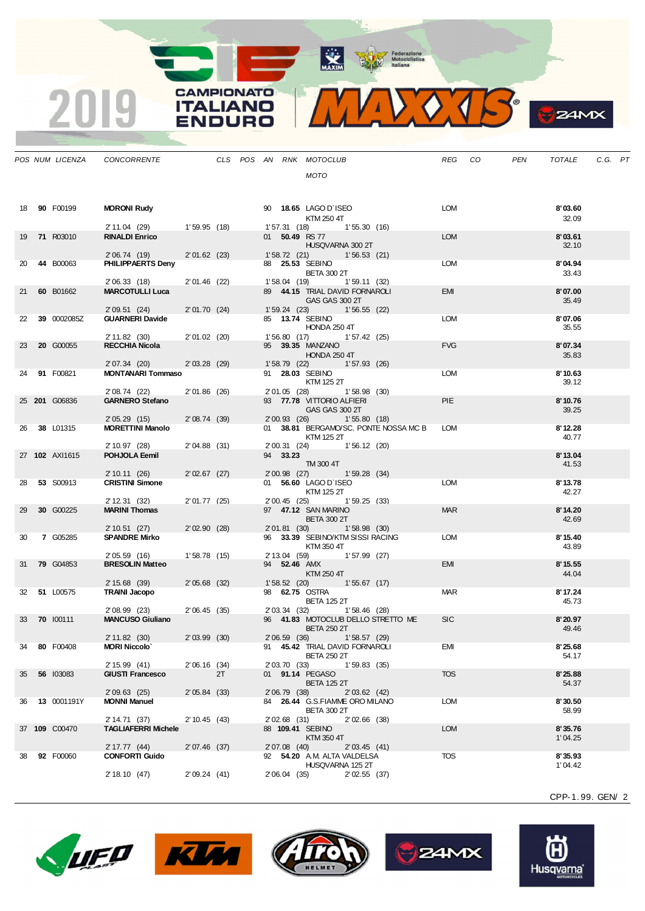MAXIM Federazione<br>
Motociclistica<br>
ttaliana



 $\bullet$ 

**B**Z4MX

|    | OS NUM LICENZA      | <b>CONCORRENTE</b>                      |                 |    |  |                | CLS POS AN RNK MOTOCLUB                                     | REG CO     | PEN | TOTALE             | C.G. PT |  |
|----|---------------------|-----------------------------------------|-----------------|----|--|----------------|-------------------------------------------------------------|------------|-----|--------------------|---------|--|
|    |                     |                                         |                 |    |  |                | MOTO                                                        |            |     |                    |         |  |
|    | 18 90 F00199        | <b>MORONI Rudy</b>                      |                 |    |  |                | 90 18.65 LAGO D'ISEO                                        | LOM        |     | 8'03.60            |         |  |
|    |                     | 2' 11.04 (29)                           | 1'59.95(18)     |    |  |                | KTM 250 4T<br>1'57.31 (18) 1'55.30 (16)                     |            |     | 32.09              |         |  |
|    | 19 71 R03010        | <b>RINALDI Enrico</b>                   |                 |    |  |                | 01 50.49 RS 77                                              | <b>LOM</b> |     | 8'03.61            |         |  |
|    |                     |                                         |                 |    |  |                | HUSQVARNA 300 2T                                            |            |     | 32.10              |         |  |
|    |                     | 2'06.74 (19)                            | $2'01.62$ (23)  |    |  |                | 1'58.72 (21) 1'56.53 (21)                                   |            |     |                    |         |  |
|    | 20 44 B00063        | PHILIPPAERTS Deny                       |                 |    |  |                | 88 25.53 SEBINO<br><b>BETA 300 2T</b>                       | <b>LOM</b> |     | 8'04.94            |         |  |
|    |                     | 2'06.33(18)                             | 2'01.46(22)     |    |  |                | 1'58.04 (19) 1'59.11 (32)                                   |            |     | 33.43              |         |  |
|    | 21 60 B01662        | <b>MARCOTULLI Luca</b>                  |                 |    |  |                | 89 44.15 TRIAL DAVID FORNAROLI                              | <b>EMI</b> |     | 8'07.00            |         |  |
|    |                     |                                         |                 |    |  |                | GAS GAS 300 2T                                              |            |     | 35.49              |         |  |
|    | 22 39 0002085Z      | 2'09.51(24)<br><b>GUARNERI Davide</b>   | 2' 01.70 (24)   |    |  | 1' 59.24 (23)  | 1'56.55(22)<br>85 13.74 SEBINO                              | LOM        |     | 8'07.06            |         |  |
|    |                     |                                         |                 |    |  |                | HONDA 250 4T                                                |            |     | 35.55              |         |  |
|    |                     | 2' 11.82 (30)                           | $2' 01.02$ (20) |    |  |                | 1'56.80 (17) 1'57.42 (25)                                   |            |     |                    |         |  |
|    | 23 <b>20</b> G00055 | <b>RECCHIA Nicola</b>                   |                 |    |  |                | 95 <b>39.35 MANZANO</b>                                     | <b>FVG</b> |     | 8'07.34            |         |  |
|    |                     | 2' 07.34 (20)                           | $2'03.28$ (29)  |    |  |                | HONDA 250 4T<br>1'58.79 (22) 1'57.93 (26)                   |            |     | 35.83              |         |  |
|    | 24 91 F00821        | MONTANARI Tommaso                       |                 |    |  |                | 91 <b>28.03 SEBINO</b>                                      | LOM        |     | 8'10.63            |         |  |
|    |                     |                                         |                 |    |  |                | KTM 125 2T                                                  |            |     | 39.12              |         |  |
|    |                     | 2' 08.74 (22)                           | $2'01.86$ (26)  |    |  |                | 2'01.05 (28) 1'58.98 (30)                                   | <b>PIE</b> |     |                    |         |  |
|    | 25 201 G06836       | <b>GARNERO Stefano</b>                  |                 |    |  |                | 93 77.78 VITTORIO ALFIERI<br>GAS GAS 300 2T                 |            |     | 8'10.76<br>39.25   |         |  |
|    |                     | 2'05.29(15)                             | $2'08.74$ (39)  |    |  |                | 2'00.93 (26) 1'55.80 (18)                                   |            |     |                    |         |  |
|    | 26 38 L01315        | <b>MORETTINI Manolo</b>                 |                 |    |  |                | 01 38.81 BERGAMO/SC. PONTE NOSSA MC B                       | <b>LOM</b> |     | 8'12.28            |         |  |
|    |                     | 2' 10.97 (28)                           | $2'04.88$ (31)  |    |  |                | KTM 125 2T                                                  |            |     | 40.77              |         |  |
|    | 27 102 AXI1615      | POHJOLA Eemil                           |                 |    |  | 94 33.23       | 2'00.31 (24) 1'56.12 (20)                                   |            |     | 8'13.04            |         |  |
|    |                     |                                         |                 |    |  |                | TM 300 4T                                                   |            |     | 41.53              |         |  |
|    | 28 53 S00913        | 2' 10.11 (26)<br><b>CRISTINI Simone</b> | 2'02.67(27)     |    |  |                | 2'00.98 (27) 1'59.28 (34)<br>01 56.60 LAGO D'ISEO           | <b>LOM</b> |     | 8'13.78            |         |  |
|    |                     |                                         |                 |    |  |                | KTM 125 2T                                                  |            |     | 42.27              |         |  |
|    |                     | 2' 12.31 (32)                           | $2' 01.77$ (25) |    |  | 2' 00.45 (25)  | 1'59.25(33)                                                 |            |     |                    |         |  |
|    | 29 30 G00225        | <b>MARINI Thomas</b>                    |                 |    |  |                | 97 47.12 SAN MARINO                                         | <b>MAR</b> |     | 8'14.20            |         |  |
|    |                     | 2'10.51(27)                             | 2'02.90(28)     |    |  | 2'01.81 (30)   | <b>BETA 300 2T</b><br>1'58.98(30)                           |            |     | 42.69              |         |  |
|    | 30 7 G05285         | <b>SPANDRE Mirko</b>                    |                 |    |  |                | 96 33.39 SEBINO/KTM SISSI RACING                            | LOM        |     | 8'15.40            |         |  |
|    |                     |                                         |                 |    |  |                | KTM 350 4T                                                  |            |     | 43.89              |         |  |
|    | 31 <b>79</b> G04853 | 2'05.59(16)<br><b>BRESOLIN Matteo</b>   | 1'58.78(15)     |    |  |                | 2' 13.04 (59) 1' 57.99 (27)<br>94 <b>52.46</b> AMX          | EMI        |     | 8'15.55            |         |  |
|    |                     |                                         |                 |    |  |                | KTM 250 4T                                                  |            |     | 44.04              |         |  |
|    |                     | 2' 15.68 (39)                           | $2'05.68$ (32)  |    |  |                | $1'58.52$ (20) $1'55.67$ (17)                               |            |     |                    |         |  |
|    | 32 51 L00575        | <b>TRAINI Jacopo</b>                    |                 |    |  |                | 98 62.75 OSTRA<br><b>BETA 125 2T</b>                        | <b>MAR</b> |     | 8'17.24<br>45.73   |         |  |
|    |                     | 2'08.99 (23)                            | 2'06.45(35)     |    |  |                | 2'03.34 (32) 1'58.46 (28)                                   |            |     |                    |         |  |
|    | 33 70 100111        | <b>MANCUSO Giuliano</b>                 |                 |    |  |                | 96 41.83 MOTOCLUB DELLO STRETTO ME                          | <b>SIC</b> |     | 8'20.97            |         |  |
|    |                     |                                         |                 |    |  |                | <b>BETA 250 2T</b>                                          |            |     | 49.46              |         |  |
|    | 34 80 F00408        | 2' 11.82 (30)<br><b>MORI Niccolo</b>    | $2'03.99$ (30)  |    |  |                | 2'06.59 (36) 1'58.57 (29)<br>91 45.42 TRIAL DAVID FORNAROLI | EMI        |     | 8'25.68            |         |  |
|    |                     |                                         |                 |    |  |                | <b>BETA 250 2T</b>                                          |            |     | 54.17              |         |  |
|    |                     | 2'15.99(41)                             | $2'06.16$ (34)  |    |  | 2' 03.70 (33)  | 1'59.83(35)                                                 |            |     |                    |         |  |
|    | 35 56 103083        | <b>GIUSTI Francesco</b>                 |                 | 2T |  |                | 01 91.14 PEGASO<br><b>BETA 125 2T</b>                       | <b>TOS</b> |     | 8'25.88<br>54.37   |         |  |
|    |                     | $2'09.63$ (25)                          | $2'05.84$ (33)  |    |  | $2'06.79$ (38) | 2'03.62(42)                                                 |            |     |                    |         |  |
|    | 36 13 0001191Y      | <b>MONNI Manuel</b>                     |                 |    |  |                | 84 26.44 G.S.FIAMME ORO MILANO                              | <b>LOM</b> |     | 8'30.50            |         |  |
|    |                     | 2' 14.71 (37)                           | 2' 10.45 (43)   |    |  | $2'02.68$ (31) | <b>BETA 300 2T</b><br>$2'02.66$ (38)                        |            |     | 58.99              |         |  |
|    | 37 109 C00470       | <b>TAGLIAFERRI Michele</b>              |                 |    |  |                | 88 109.41 SEBINO                                            | <b>LOM</b> |     | 8'35.76            |         |  |
|    |                     |                                         |                 |    |  |                | KTM 350 4T                                                  |            |     | 1'04.25            |         |  |
|    |                     | 2' 17.77 (44)                           | 2'07.46(37)     |    |  | 2'07.08 (40)   | 2'03.45(41)                                                 |            |     |                    |         |  |
| 38 | 92 F00060           | <b>CONFORTI Guido</b>                   |                 |    |  |                | 92 54.20 A.M. ALTA VALDELSA<br>HUSQVARNA 125 2T             | <b>TOS</b> |     | 8'35.93<br>1'04.42 |         |  |
|    |                     | 2' 18.10 (47)                           | 2'09.24(41)     |    |  | 2' 06.04 (35)  | $2'02.55$ (37)                                              |            |     |                    |         |  |
|    |                     |                                         |                 |    |  |                |                                                             |            |     |                    |         |  |

CPP-1. 99. GEN/ 2



 $POS$  *NUM LICENZA* 

 $\overline{\mathbf{2}}$ 

<u>19</u>

**CAMPIONATO** 

**ITALIANO** 

ENDURO







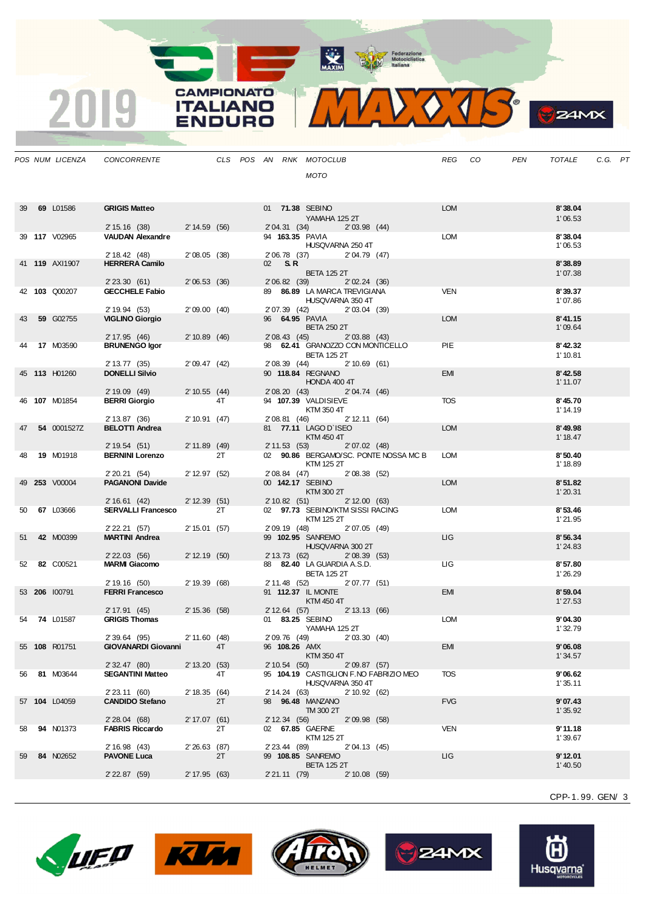MAXIM Rederazione

 $\bullet$ 

 $24MX$ 

|    | POS NUM LICENZA     | CONCORRENTE                                          |               |    |  |               | CLS POS AN RNK MOTOCLUB                                    |              |                                       | REG CO     | PEN | TOTALE              | C.G. PT |  |
|----|---------------------|------------------------------------------------------|---------------|----|--|---------------|------------------------------------------------------------|--------------|---------------------------------------|------------|-----|---------------------|---------|--|
|    |                     |                                                      |               |    |  |               | MOTO                                                       |              |                                       |            |     |                     |         |  |
|    |                     |                                                      |               |    |  |               |                                                            |              |                                       |            |     |                     |         |  |
|    | 39 69 L01586        | <b>GRIGIS Matteo</b>                                 |               |    |  |               | 01 71.38 SEBINO                                            |              |                                       | <b>LOM</b> |     | 8'38.04             |         |  |
|    |                     |                                                      |               |    |  |               | YAMAHA 125 2T                                              |              |                                       |            |     | 1'06.53             |         |  |
|    |                     | 2' 15.16 (38) 2' 14.59 (56)                          |               |    |  |               | 2'04.31 (34) 2'03.98 (44)                                  |              |                                       |            |     |                     |         |  |
|    | 39 117 V02965       | VAUDAN Alexandre                                     |               |    |  |               | 94 163.35 PAVIA<br>HUSQVARNA 250 4T                        |              |                                       | LOM        |     | 8'38.04<br>1'06.53  |         |  |
|    |                     | 2' 18.42 (48)                                        | 2'08.05(38)   |    |  |               | 2'06.78 (37) 2'04.79 (47)                                  |              |                                       |            |     |                     |         |  |
|    | 41 119 AXI1907      | <b>HERRERA Camilo</b>                                |               |    |  | 02 S.R        |                                                            |              |                                       |            |     | 8'38.89             |         |  |
|    |                     | $2'$ 23.30 (61)                                      |               |    |  |               | <b>BETA 125 2T</b><br>2'06.82 (39)                         |              |                                       |            |     | 1'07.38             |         |  |
|    | 42 103 Q00207       | <b>GECCHELE Fabio</b>                                | 2'06.53(36)   |    |  |               | 89 86.89 LA MARCA TREVIGIANA                               | 2'02.24(36)  |                                       | <b>VEN</b> |     | 8'39.37             |         |  |
|    |                     |                                                      |               |    |  |               | HUSQVARNA 350 4T                                           |              |                                       |            |     | 1'07.86             |         |  |
| 43 | 59 G02755           | 2' 19.94 (53)<br><b>VIGLINO Giorgio</b>              | 2'09.00(40)   |    |  |               | 2'07.39 (42) 2'03.04 (39)<br>96 64.95 PAVIA                |              |                                       | <b>LOM</b> |     | 8' 41.15            |         |  |
|    |                     |                                                      |               |    |  |               | <b>BETA 250 2T</b>                                         |              |                                       |            |     | 1'09.64             |         |  |
|    |                     | 2' 17.95 (46)                                        | 2'10.89(46)   |    |  |               | 2'08.43 (45) 2'03.88 (43)                                  |              |                                       |            |     |                     |         |  |
|    | <b>17 M03590</b>    | <b>BRUNENGO Igor</b>                                 |               |    |  |               | 98 62.41 GRANOZZO CON MONTICELLO<br><b>BETA 125 2T</b>     |              |                                       | <b>PIE</b> |     | 8'42.32<br>1' 10.81 |         |  |
|    |                     | 2' 13.77 (35)                                        | 2'09.47(42)   |    |  |               | 2'08.39 (44) 2'10.69 (61)                                  |              |                                       |            |     |                     |         |  |
|    | 45 113 H01260       | <b>DONELLI Silvio</b>                                |               |    |  |               | 90 118.84 REGNANO                                          |              |                                       | <b>EMI</b> |     | 8'42.58             |         |  |
|    |                     | 2' 19.09 (49)                                        | 2'10.55(44)   |    |  |               | HONDA 400 4T<br>2'08.20 (43) 2'04.74 (46)                  |              |                                       |            |     | 1'11.07             |         |  |
|    | 46 107 M01854       | <b>BERRI Giorgio</b>                                 |               | 4T |  |               | 94 107.39 VALDISIEVE                                       |              |                                       | <b>TOS</b> |     | 8'45.70             |         |  |
|    |                     |                                                      |               |    |  |               | KTM 350 4T                                                 |              |                                       |            |     | 1' 14.19            |         |  |
| 47 | 54 0001527Z         | 2' 13.87 (36) 2' 10.91 (47)<br><b>BELOTTI Andrea</b> |               |    |  |               | 2'08.81 (46) 2'12.11 (64)<br>81 77.11 LAGO D'ISEO          |              |                                       | <b>LOM</b> |     | 8'49.98             |         |  |
|    |                     |                                                      |               |    |  |               | KTM 450 4T                                                 |              |                                       |            |     | 1' 18.47            |         |  |
|    |                     | 2' 19.54 (51) 2' 11.89 (49)                          |               |    |  |               | 2' 11.53 (53) 2' 07.02 (48)                                |              |                                       |            |     |                     |         |  |
|    | 48 <b>19 M01918</b> | <b>BERNINI Lorenzo</b>                               |               | 2T |  |               | KTM 125 2T                                                 |              | 02 90.86 BERGAMO/SC. PONTE NOSSA MC B | LOM        |     | 8'50.40<br>1' 18.89 |         |  |
|    |                     | 2' 20.21 (54) 2' 12.97 (52)                          |               |    |  |               | 2'08.84 (47) 2'08.38 (52)                                  |              |                                       |            |     |                     |         |  |
|    | 49 253 V00004       | <b>PAGANONI Davide</b>                               |               |    |  |               | 00 142.17 SEBINO                                           |              |                                       | <b>LOM</b> |     | 8'51.82             |         |  |
|    |                     | 2'16.61(42)                                          | 2' 12.39 (51) |    |  |               | KTM 300 2T<br>2' 10.82 (51) 2' 12.00 (63)                  |              |                                       |            |     | 1'20.31             |         |  |
|    | 50 67 L03666        | <b>SERVALLI Francesco</b> 2T                         |               |    |  |               | 02 97.73 SEBINO/KTM SISSI RACING                           |              |                                       | <b>LOM</b> |     | 8'53.46             |         |  |
|    |                     |                                                      |               |    |  |               | KTM 125 2T                                                 |              |                                       |            |     | 1'21.95             |         |  |
| 51 | 42 M00399           | 2' 22.21 (57)<br><b>MARTINI Andrea</b>               | 2' 15.01 (57) |    |  | 2' 09.19 (48) | 99 102.95 SANREMO                                          | 2'07.05 (49) |                                       | <b>LIG</b> |     | 8'56.34             |         |  |
|    |                     |                                                      |               |    |  |               | HUSQVARNA 300 2T                                           |              |                                       |            |     | 1'24.83             |         |  |
|    |                     | 2' 22.03 (56)                                        | 2' 12.19 (50) |    |  |               | 2' 13.73 (62)                                              | 2'08.39(53)  |                                       |            |     |                     |         |  |
|    | 52 82 C00521        | <b>MARMI Giacomo</b>                                 |               |    |  |               | 88 82.40 LA GUARDIA A.S.D.<br><b>BETA 125 2T</b>           |              |                                       | LIG.       |     | 8'57.80<br>1'26.29  |         |  |
|    |                     | 2'19.16(50)                                          | 2' 19.39 (68) |    |  |               | 2' 11.48 (52) 2' 07.77 (51)                                |              |                                       |            |     |                     |         |  |
|    | 53 206 100791       | <b>FERRI Francesco</b>                               |               |    |  |               | 91 112.37 IL MONTE                                         |              |                                       | <b>EMI</b> |     | 8'59.04             |         |  |
|    |                     | 2' 17.91 (45) 2' 15.36 (58)                          |               |    |  |               | KTM 450 4T<br>2' 12.64 (57) 2' 13.13 (66)                  |              |                                       |            |     | 1'27.53             |         |  |
|    | 54 74 L01587        | <b>GRIGIS Thomas</b>                                 |               |    |  |               | 01 83.25 SEBINO                                            |              |                                       | <b>LOM</b> |     | 9'04.30             |         |  |
|    |                     |                                                      |               |    |  |               | YAMAHA 125 2T                                              |              |                                       |            |     | 1'32.79             |         |  |
|    | 55 108 R01751       | 2'39.64(95)<br><b>GIOVANARDI Giovanni</b>            | 2' 11.60 (48) | 4T |  | 96 108.26 AMX | 2' 09.76 (49)                                              | 2'03.30(40)  |                                       | EMI        |     | 9'06.08             |         |  |
|    |                     |                                                      |               |    |  |               | KTM 350 4T                                                 |              |                                       |            |     | 1'34.57             |         |  |
|    |                     | 2' 32.47 (80)                                        | 2' 13.20 (53) |    |  | 2' 10.54 (50) |                                                            | 2'09.87(57)  |                                       |            |     |                     |         |  |
|    | 56 81 M03644        | <b>SEGANTINI Matteo</b>                              |               | 4T |  |               | 95 104.19 CASTIGLION F.NO FABRIZIO MEO<br>HUSQVARNA 350 4T |              |                                       | TOS        |     | 9'06.62<br>1'35.11  |         |  |
|    |                     | 2' 23.11 (60)                                        | 2' 18.35 (64) |    |  | 2' 14.24 (63) |                                                            | 2'10.92(62)  |                                       |            |     |                     |         |  |
|    | 57 104 L04059       | <b>CANDIDO Stefano</b>                               |               | 2T |  |               | 98 96.48 MANZANO                                           |              |                                       | <b>FVG</b> |     | 9'07.43             |         |  |
|    |                     | 2'28.04(68)                                          | 2' 17.07 (61) |    |  | 2' 12.34 (56) | TM 300 2T                                                  | 2'09.98(58)  |                                       |            |     | 1'35.92             |         |  |
| 58 | 94 N01373           | <b>FABRIS Riccardo</b>                               |               | 2T |  |               | 02 67.85 GAERNE                                            |              |                                       | <b>VEN</b> |     | 9'11.18             |         |  |
|    |                     |                                                      |               |    |  |               | KTM 125 2T                                                 |              |                                       |            |     | 1'39.67             |         |  |
| 59 | 84 N02652           | 2' 16.98 (43)<br><b>PAVONE Luca</b>                  | 2'26.63(87)   | 2T |  | 2' 23.44 (89) | 99 108.85 SANREMO                                          | 2'04.13 (45) |                                       | <b>LIG</b> |     | 9'12.01             |         |  |
|    |                     |                                                      |               |    |  |               | <b>BETA 125 2T</b>                                         |              |                                       |            |     | 1'40.50             |         |  |
|    |                     | 2' 22.87 (59)                                        | 2' 17.95 (63) |    |  |               | 2' 21.11 (79) 2' 10.08 (59)                                |              |                                       |            |     |                     |         |  |

CPP-1. 99. GEN/ 3





**CAMPIONATO** 

**ITALIANO** 

**ENDURO** 

2019





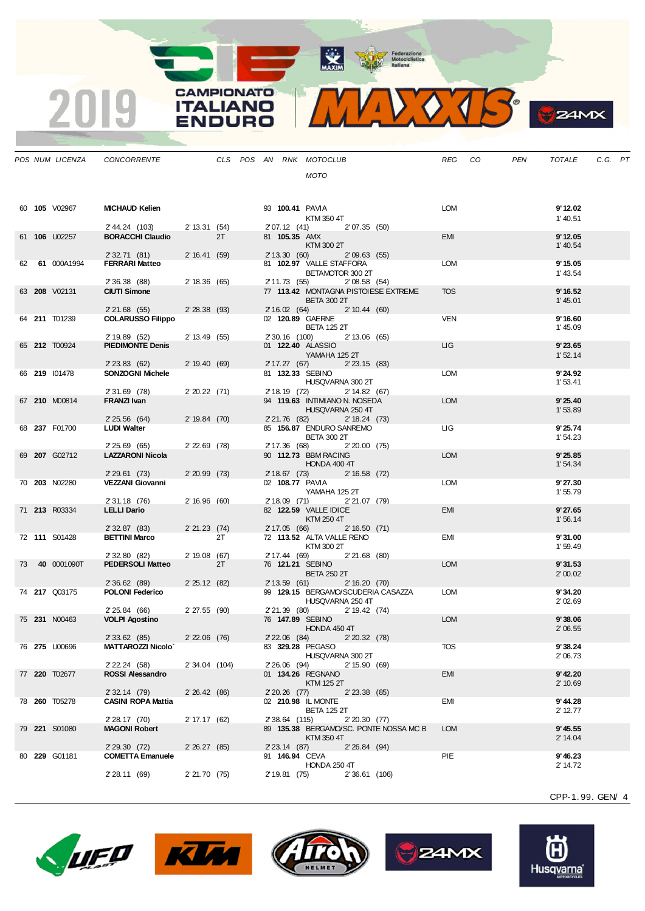MAXIM Pederazione

MIDOJS

**CAMPIONATO** 

**ITALIANO** 

**ENDURO** 

2019

|  | POS NUM LICENZA | CONCORRENTE                              |                |    |  |                | CLS POS AN RNK MOTOCLUB                                           |                 |                                        | REG CO     | PEN | TOTALE                 | C.G. PT |  |
|--|-----------------|------------------------------------------|----------------|----|--|----------------|-------------------------------------------------------------------|-----------------|----------------------------------------|------------|-----|------------------------|---------|--|
|  |                 |                                          |                |    |  |                | <b>MOTO</b>                                                       |                 |                                        |            |     |                        |         |  |
|  |                 |                                          |                |    |  |                |                                                                   |                 |                                        |            |     |                        |         |  |
|  | 60 105 V02967   | <b>MICHAUD Kelien</b>                    |                |    |  |                | 93 100.41 PAVIA                                                   |                 |                                        | LOM        |     | 9'12.02                |         |  |
|  |                 |                                          |                |    |  |                | KTM 350 4T                                                        |                 |                                        |            |     | 1'40.51                |         |  |
|  |                 | 2' 44.24 (103) 2' 13.31 (54)             |                |    |  |                | 2'07.12 (41) 2'07.35 (50)                                         |                 |                                        |            |     |                        |         |  |
|  | 61 106 U02257   | <b>BORACCHI Claudio</b>                  |                | 2T |  | 81 105.35 AMX  | KTM 300 2T                                                        |                 |                                        | EMI        |     | 9'12.05<br>1'40.54     |         |  |
|  |                 | 2' 32.71 (81)                            | 2'16.41(59)    |    |  |                | 2' 13.30 (60)                                                     | 2'09.63(55)     |                                        |            |     |                        |         |  |
|  | 62 61 000A1994  | <b>FERRARI Matteo</b>                    |                |    |  |                | 81 102.97 VALLE STAFFORA                                          |                 |                                        | LOM        |     | 9'15.05                |         |  |
|  |                 | 2' 36.38 (88)                            | 2' 18.36 (65)  |    |  |                | BETAMOTOR 300 2T<br>2' 11.73 (55)                                 | 2'08.58(54)     |                                        |            |     | 1' 43.54               |         |  |
|  | 63 208 V02131   | <b>CIUTI Simone</b>                      |                |    |  |                | 77 113.42 MONTAGNA PISTOIESE EXTREME                              |                 |                                        | <b>TOS</b> |     | 9'16.52                |         |  |
|  |                 | 2' 21.68 (55)                            | $2'28.38$ (93) |    |  |                | <b>BETA 300 2T</b><br>2' 16.02 (64) 2' 10.44 (60)                 |                 |                                        |            |     | 1' 45.01               |         |  |
|  | 64 211 T01239   | <b>COLARUSSO Filippo</b>                 |                |    |  |                | 02 120.89 GAERNE                                                  |                 |                                        | <b>VEN</b> |     | 9'16.60                |         |  |
|  |                 |                                          |                |    |  |                | <b>BETA 125 2T</b>                                                |                 |                                        |            |     | 1'45.09                |         |  |
|  | 65 212 T00924   | 2' 19.89 (52)<br><b>PIEDIMONTE Denis</b> | 2'13.49(55)    |    |  |                | 2' 30.16 (100) 2' 13.06 (65)<br>01 <b>122.40</b> ALASSIO          |                 |                                        | LIG.       |     | 9'23.65                |         |  |
|  |                 |                                          |                |    |  |                | YAMAHA 125 2T                                                     |                 |                                        |            |     | 1'52.14                |         |  |
|  | 66 219 101478   | 2'23.83(62)<br>SONZOGNI Michele          | 2'19.40(69)    |    |  |                | 2' 17.27 (67) 2' 23.15 (83)<br>81 132.33 SEBINO                   |                 |                                        | LOM        |     | 9'24.92                |         |  |
|  |                 |                                          |                |    |  |                | HUSQVARNA 300 2T                                                  |                 |                                        |            |     | 1'53.41                |         |  |
|  |                 | 2' 31.69 (78)                            | $2'20.22$ (71) |    |  |                | 2' 18.19 (72) 2' 14.82 (67)<br>94 119.63 INTIMIANO N. NOSEDA      |                 |                                        | <b>LOM</b> |     |                        |         |  |
|  | 67 210 M00814   | FRANZI Ivan                              |                |    |  |                | HUSQVARNA 250 4T                                                  |                 |                                        |            |     | 9'25.40<br>1'53.89     |         |  |
|  |                 | 2'25.56(64)                              | 2' 19.84 (70)  |    |  |                | 2'21.76 (82) 2'18.24 (73)                                         |                 |                                        |            |     |                        |         |  |
|  | 68 237 F01700   | <b>LUDI Walter</b>                       |                |    |  |                | 85 156.87 ENDURO SANREMO<br><b>BETA 300 2T</b>                    |                 |                                        | LIG -      |     | 9'25.74<br>1'54.23     |         |  |
|  |                 | 2' 25.69 (65)                            | 2'22.69 (78)   |    |  |                | 2' 17.36 (68) 2' 20.00 (75)                                       |                 |                                        |            |     |                        |         |  |
|  | 69 207 G02712   | <b>LAZZARONI Nicola</b>                  |                |    |  |                | 90 112.73 BBM RACING<br>HONDA 400 4T                              |                 |                                        | <b>LOM</b> |     | 9'25.85<br>1'54.34     |         |  |
|  |                 | 2'29.61(73)                              | $2'20.99$ (73) |    |  |                | 2' 18.67 (73) 2' 16.58 (72)                                       |                 |                                        |            |     |                        |         |  |
|  | 70 203 N02280   | <b>VEZZANI Giovanni</b>                  |                |    |  |                | 02 108.77 PAVIA                                                   |                 |                                        | <b>LOM</b> |     | 9'27.30                |         |  |
|  |                 | 2' 31.18 (76)                            | 2'16.96(60)    |    |  |                | YAMAHA 125 2T<br>2' 18.09 (71) 2' 21.07 (79)                      |                 |                                        |            |     | 1'55.79                |         |  |
|  | 71 213 R03334   | <b>LELLI Dario</b>                       |                |    |  |                | 82 122.59 VALLE IDICE                                             |                 |                                        | <b>EMI</b> |     | 9'27.65                |         |  |
|  |                 | 2' 32.87 (83)                            | $2'21.23$ (74) |    |  | 2' 17.05 (66)  | KTM 250 4T                                                        | 2' 16.50 (71)   |                                        |            |     | 1'56.14                |         |  |
|  | 72 111 S01428   | <b>BETTINI Marco</b>                     |                | 2T |  |                | 72 113.52 ALTA VALLE RENO                                         |                 |                                        | EMI        |     | 9'31.00                |         |  |
|  |                 | 2' 32.80 (82)                            | 2' 19.08 (67)  |    |  |                | KTM 300 2T<br>2' 17.44 (69) 2' 21.68 (80)                         |                 |                                        |            |     | 1'59.49                |         |  |
|  | 73 40 0001090T  | <b>PEDERSOLI Matteo</b>                  |                | 2T |  |                | 76 121.21 SEBINO                                                  |                 |                                        | <b>LOM</b> |     | 9'31.53                |         |  |
|  |                 |                                          |                |    |  |                | <b>BETA 250 2T</b>                                                |                 |                                        |            |     | 2'00.02                |         |  |
|  | 74 217 Q03175   | 2' 36.62 (89)<br><b>POLONI Federico</b>  | 2'25.12(82)    |    |  |                | 2' 13.59 (61) 2' 16.20 (70)<br>99 129.15 BERGAMO/SCUDERIA CASAZZA |                 |                                        | LOM        |     | 9'34.20                |         |  |
|  |                 |                                          |                |    |  |                | HUSQVARNA 250 4T                                                  |                 |                                        |            |     | 2'02.69                |         |  |
|  | 75 231 N00463   | 2' 25.84 (66)<br><b>VOLPI Agostino</b>   | 2' 27.55 (90)  |    |  |                | 2' 21.39 (80) 2' 19.42 (74)<br>76 147.89 SEBINO                   |                 |                                        | <b>LOM</b> |     | 9'38.06                |         |  |
|  |                 |                                          |                |    |  |                | <b>HONDA 450 4T</b>                                               |                 |                                        |            |     | 2'06.55                |         |  |
|  |                 | 2' 33.62 (85)                            | $2'22.06$ (76) |    |  |                | 2' 22.06 (84)                                                     | 2'20.32(78)     |                                        | TOS        |     | 9'38.24                |         |  |
|  | 76 275 U00696   | <b>MATTAROZZI Nicolo`</b>                |                |    |  |                | 83 329.28 PEGASO<br>HUSQVARNA 300 2T                              |                 |                                        |            |     | 2'06.73                |         |  |
|  |                 | $2'$ 22.24 (58)                          | 2' 34.04 (104) |    |  | 2' 26.06 (94)  |                                                                   | 2' 15.90 (69)   |                                        |            |     |                        |         |  |
|  | 77 220 T02677   | <b>ROSSI Alessandro</b>                  |                |    |  |                | 01 134.26 REGNANO<br>KTM 125 2T                                   |                 |                                        | <b>EMI</b> |     | $9'$ 42.20<br>2' 10.69 |         |  |
|  |                 | $2'32.14$ (79)                           | 2'26.42(86)    |    |  | $2'20.26$ (77) |                                                                   | $2'$ 23.38 (85) |                                        |            |     |                        |         |  |
|  | 78 260 T05278   | <b>CASINI ROPA Mattia</b>                |                |    |  |                | 02 210.98 IL MONTE<br><b>BETA 125 2T</b>                          |                 |                                        | EMI        |     | 9' 44.28<br>2' 12.77   |         |  |
|  |                 | 2' 28.17 (70)                            | 2' 17.17 (62)  |    |  | 2' 38.64 (115) |                                                                   | 2'20.30(77)     |                                        |            |     |                        |         |  |
|  | 79 221 S01080   | <b>MAGONI Robert</b>                     |                |    |  |                | KTM 350 4T                                                        |                 | 89 135.38 BERGAMO/SC. PONTE NOSSA MC B | <b>LOM</b> |     | 9'45.55<br>2' 14.04    |         |  |
|  |                 | 2'29.30(72)                              | 2'26.27(85)    |    |  | 2' 23.14 (87)  |                                                                   | 2'26.84(94)     |                                        |            |     |                        |         |  |
|  | 80 229 G01181   | <b>COMETTA Emanuele</b>                  |                |    |  |                | 91 146.94 CEVA                                                    |                 |                                        | PIE        |     | 9'46.23                |         |  |
|  |                 | 2' 28.11 (69)                            | 2' 21.70 (75)  |    |  | 2' 19.81 (75)  | <b>HONDA 250 4T</b>                                               | $2'36.61$ (106) |                                        |            |     | 2' 14.72               |         |  |
|  |                 |                                          |                |    |  |                |                                                                   |                 |                                        |            |     |                        |         |  |

CPP-1. 99. GEN/ 4

**B**zamx









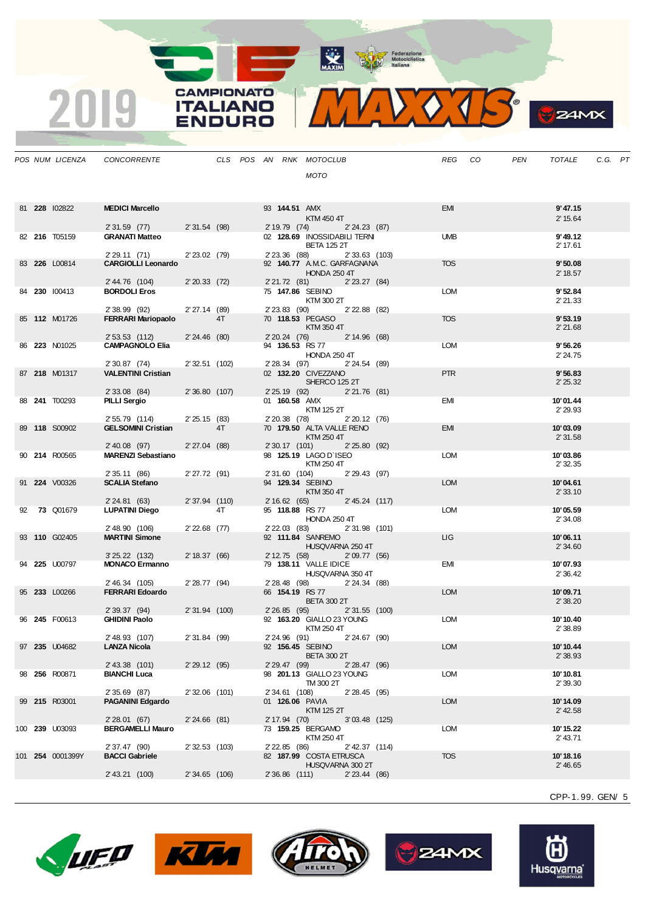MAXIM Pederazione

**CAMPIONATO** 

**ITALIANO** 

**ENDURO** 

2019



**B**ZAMX

|  | POS NUM LICENZA  | CONCORRENTE                                |                |    |  |                | CLS POS AN RNK MOTOCLUB                               |                 | REG CO     | PEN | TOTALE               | C.G. PT |  |
|--|------------------|--------------------------------------------|----------------|----|--|----------------|-------------------------------------------------------|-----------------|------------|-----|----------------------|---------|--|
|  |                  |                                            |                |    |  |                | <b>MOTO</b>                                           |                 |            |     |                      |         |  |
|  |                  |                                            |                |    |  |                |                                                       |                 |            |     |                      |         |  |
|  |                  |                                            |                |    |  |                |                                                       |                 |            |     |                      |         |  |
|  | 81 228 102822    | <b>MEDICI Marcello</b>                     |                |    |  | 93 144.51 AMX  |                                                       |                 | <b>EMI</b> |     | 9'47.15              |         |  |
|  |                  | 2' 31.59 (77)                              | 2' 31.54 (98)  |    |  |                | KTM 450 4T<br>2' 19.79 (74) 2' 24.23 (87)             |                 |            |     | 2' 15.64             |         |  |
|  | 82 216 T05159    | <b>GRANATI Matteo</b>                      |                |    |  |                | 02 128.69 INOSSIDABILI TERNI                          |                 | <b>UMB</b> |     | 9'49.12              |         |  |
|  |                  |                                            |                |    |  |                | <b>BETA 125 2T</b>                                    |                 |            |     | 2' 17.61             |         |  |
|  | 83 226 L00814    | 2' 29.11 (71)<br><b>CARGIOLLI Leonardo</b> | 2' 23.02 (79)  |    |  | 2' 23.36 (88)  | 92 140.77 A.M.C. GARFAGNANA                           | $2'33.63$ (103) | <b>TOS</b> |     | 9'50.08              |         |  |
|  |                  |                                            |                |    |  |                | <b>HONDA 250 4T</b>                                   |                 |            |     | 2' 18.57             |         |  |
|  |                  | 2' 44.76 (104)                             | $2'20.33$ (72) |    |  |                | 2'21.72 (81) 2'23.27 (84)                             |                 |            |     |                      |         |  |
|  | 84 230 100413    | <b>BORDOLI Eros</b>                        |                |    |  |                | 75 147.86 SEBINO                                      |                 | <b>LOM</b> |     | 9'52.84              |         |  |
|  |                  | 2' 38.99 (92)                              | $2'27.14$ (89) |    |  |                | KTM 300 2T<br>2'23.83 (90) 2'22.88 (82)               |                 |            |     | 2' 21.33             |         |  |
|  | 85 112 M01726    | <b>FERRARI Mariopaolo</b>                  |                | 4T |  |                | 70 118.53 PEGASO                                      |                 | <b>TOS</b> |     | 9'53.19              |         |  |
|  |                  |                                            |                |    |  |                | KTM 350 4T                                            |                 |            |     | 2' 21.68             |         |  |
|  | 86 223 N01025    | 2' 53.53 (112)<br><b>CAMPAGNOLO Elia</b>   | 2'24.46(80)    |    |  |                | 2' 20.24 (76) 2' 14.96 (68)<br>94 136.53 RS 77        |                 | <b>LOM</b> |     | 9'56.26              |         |  |
|  |                  |                                            |                |    |  |                | <b>HONDA 250 4T</b>                                   |                 |            |     | 2' 24.75             |         |  |
|  |                  | 2' 30.87 (74)                              | 2' 32.51 (102) |    |  |                | 2' 28.34 (97) 2' 24.54 (89)                           |                 |            |     |                      |         |  |
|  | 87 218 M01317    | <b>VALENTINI Cristian</b>                  |                |    |  |                | 02 132.20 CIVEZZANO<br>SHERCO 125 2T                  |                 | <b>PTR</b> |     | 9'56.83<br>2' 25.32  |         |  |
|  |                  | 2' 33.08 (84)                              | 2' 36.80 (107) |    |  |                | 2'25.19(92)                                           | 2'21.76(81)     |            |     |                      |         |  |
|  | 88 241 T00293    | <b>PILLI Sergio</b>                        |                |    |  | 01 160.58 AMX  |                                                       |                 | EMI        |     | 10'01.44             |         |  |
|  |                  | 2' 55.79 (114)                             | 2'25.15(83)    |    |  |                | KTM 125 2T<br>2' 20.38 (78)                           | 2' 20.12 (76)   |            |     | 2' 29.93             |         |  |
|  | 89 118 S00902    | <b>GELSOMINI Cristian</b>                  |                | 4T |  |                | 70 179.50 ALTA VALLE RENO                             |                 | EMI        |     | 10'03.09             |         |  |
|  |                  |                                            |                |    |  |                | KTM 250 4T                                            |                 |            |     | 2'31.58              |         |  |
|  | 90 214 R00565    | 2' 40.08 (97)<br><b>MARENZI Sebastiano</b> | 2'27.04(88)    |    |  |                | 2' 30.17 (101) 2' 25.80 (92)<br>98 125.19 LAGO D'ISEO |                 | <b>LOM</b> |     | 10'03.86             |         |  |
|  |                  |                                            |                |    |  |                | KTM 250 4T                                            |                 |            |     | 2' 32.35             |         |  |
|  |                  | 2' 35.11 (86)                              | 2'27.72 (91)   |    |  | 2' 31.60 (104) |                                                       | 2' 29.43 (97)   |            |     |                      |         |  |
|  | 91 224 V00326    | <b>SCALIA Stefano</b>                      |                |    |  |                | 94 129.34 SEBINO<br>KTM 350 4T                        |                 | <b>LOM</b> |     | 10'04.61<br>2'33.10  |         |  |
|  |                  | 2' 24.81 (63)                              | 2' 37.94 (110) |    |  |                | 2'16.62(65)                                           | 2' 45.24 (117)  |            |     |                      |         |  |
|  | 92 73 Q01679     | <b>LUPATINI Diego</b>                      |                | 4T |  |                | 95 118.88 RS 77                                       |                 | <b>LOM</b> |     | 10'05.59             |         |  |
|  |                  | 2' 48.90 (106)                             | $2'22.68$ (77) |    |  |                | <b>HONDA 250 4T</b><br>2'22.03 (83) 2'31.98 (101)     |                 |            |     | 2'34.08              |         |  |
|  | 93 110 G02405    | <b>MARTINI Simone</b>                      |                |    |  |                | 92 111.84 SANREMO                                     |                 | <b>LIG</b> |     | 10'06.11             |         |  |
|  |                  |                                            |                |    |  |                | HUSQVARNA 250 4T                                      |                 |            |     | 2'34.60              |         |  |
|  | 94 225 U00797    | $3'25.22$ (132)<br><b>MONACO Ermanno</b>   | 2' 18.37 (66)  |    |  |                | 2' 12.75 (58) 2' 09.77 (56)<br>79 138.11 VALLE IDICE  |                 | EMI        |     | 10'07.93             |         |  |
|  |                  |                                            |                |    |  |                | HUSQVARNA 350 4T                                      |                 |            |     | 2'36.42              |         |  |
|  |                  | 2' 46.34 (105)                             | 2' 28.77 (94)  |    |  |                | 2'28.48 (98) 2'24.34 (88)                             |                 |            |     |                      |         |  |
|  | 95 233 L00266    | <b>FERRARI Edoardo</b>                     |                |    |  |                | 66 154.19 RS 77                                       |                 | <b>LOM</b> |     | 10'09.71             |         |  |
|  |                  | 2' 39.37 (94)                              | 2' 31.94 (100) |    |  |                | <b>BETA 300 2T</b><br>2' 26.85 (95) 2' 31.55 (100)    |                 |            |     | 2'38.20              |         |  |
|  | 96 245 F00613    | <b>GHIDINI Paolo</b>                       |                |    |  |                | 92 163.20 GIALLO 23 YOUNG                             |                 | <b>LOM</b> |     | 10'10.40             |         |  |
|  |                  |                                            |                |    |  |                | KTM 250 4T                                            |                 |            |     | 2' 38.89             |         |  |
|  | 97 235 U04682    | 2' 48.93 (107)<br><b>LANZA Nicola</b>      | 2'31.84 (99)   |    |  |                | 2'24.96 (91)<br>92 156.45 SEBINO                      | 2' 24.67 (90)   | <b>LOM</b> |     | 10'10.44             |         |  |
|  |                  |                                            |                |    |  |                | <b>BETA 300 2T</b>                                    |                 |            |     | 2' 38.93             |         |  |
|  |                  | 2' 43.38 (101)                             | 2'29.12(95)    |    |  | 2' 29.47 (99)  |                                                       | 2'28.47(96)     |            |     |                      |         |  |
|  | 98 256 R00871    | <b>BIANCHI Luca</b>                        |                |    |  |                | 98 201.13 GIALLO 23 YOUNG<br>TM 300 2T                |                 | LOM        |     | 10'10.81<br>2' 39.30 |         |  |
|  |                  | 2' 35.69 (87)                              | 2' 32.06 (101) |    |  | 2' 34.61 (108) |                                                       | 2'28.45(95)     |            |     |                      |         |  |
|  | 99 215 R03001    | <b>PAGANINI Edgardo</b>                    |                |    |  |                | 01 126.06 PAVIA                                       |                 | <b>LOM</b> |     | 10'14.09             |         |  |
|  |                  | 2' 28.01 (67)                              | 2'24.66(81)    |    |  | 2' 17.94 (70)  | <b>KTM 125 2T</b>                                     | $3'03.48$ (125) |            |     | $2'$ 42.58           |         |  |
|  | 100 239 U03093   | <b>BERGAMELLI Mauro</b>                    |                |    |  |                | 73 159.25 BERGAMO                                     |                 | <b>LOM</b> |     | 10'15.22             |         |  |
|  |                  |                                            |                |    |  |                | KTM 250 4T                                            |                 |            |     | 2' 43.71             |         |  |
|  | 101 254 0001399Y | 2' 37.47 (90)<br><b>BACCI Gabriele</b>     | 2' 32.53 (103) |    |  | 2' 22.85 (86)  | 82 187.99 COSTA ETRUSCA                               | 2' 42.37 (114)  | <b>TOS</b> |     | 10'18.16             |         |  |
|  |                  |                                            |                |    |  |                | HUSQVARNA 300 2T                                      |                 |            |     | 2' 46.65             |         |  |
|  |                  | 2' 43.21 (100)                             | 2'34.65(106)   |    |  | 2' 36.86 (111) |                                                       | $2'$ 23.44 (86) |            |     |                      |         |  |
|  |                  |                                            |                |    |  |                |                                                       |                 |            |     |                      |         |  |

CPP-1. 99. GEN/ 5

Õ Husqvarna®







**B**z4MX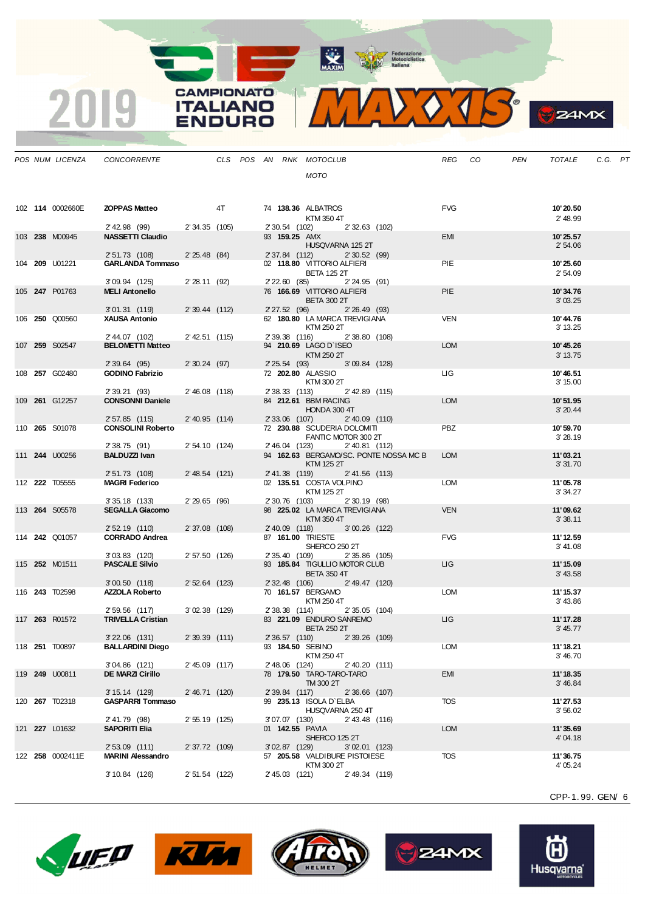MAXIM BOOR Motociclistica

**CAMPIONATO** 

**ITALIANO** 

**ENDURO** 

2019

VOJS.  $\mathbf{V}$ 

**B**ZAMX

|  | POS NUM LICENZA       | CONCORRENTE                               |                 |  |                 | CLS POS AN RNK MOTOCLUB                                        |                  |                                        | <b>REG</b> | CO | <b>PEN</b> | <b>TOTALE</b>         | C.G. PT |  |
|--|-----------------------|-------------------------------------------|-----------------|--|-----------------|----------------------------------------------------------------|------------------|----------------------------------------|------------|----|------------|-----------------------|---------|--|
|  |                       |                                           |                 |  |                 | <b>MOTO</b>                                                    |                  |                                        |            |    |            |                       |         |  |
|  |                       |                                           |                 |  |                 |                                                                |                  |                                        |            |    |            |                       |         |  |
|  | 102 114 0002660E      | <b>ZOPPAS Matteo</b>                      | 4T              |  |                 | 74 138.36 ALBATROS                                             |                  |                                        | <b>FVG</b> |    |            | 10'20.50              |         |  |
|  |                       |                                           |                 |  |                 | KTM 350 4T                                                     |                  |                                        |            |    |            | 2' 48.99              |         |  |
|  |                       | 2' 42.98 (99) 2' 34.35 (105)              |                 |  |                 | 2' 30.54 (102) 2' 32.63 (102)                                  |                  |                                        |            |    |            |                       |         |  |
|  | 103 238 M00945        | <b>NASSETTI Claudio</b>                   |                 |  |                 | 93 159.25 AMX<br>HUSQVARNA 125 2T                              |                  |                                        | <b>EMI</b> |    |            | 10'25.57<br>2'54.06   |         |  |
|  |                       | 2'51.73 (108)                             | 2'25.48(84)     |  |                 | 2' 37.84 (112) 2' 30.52 (99)                                   |                  |                                        |            |    |            |                       |         |  |
|  | 104 209 U01221        | <b>GARLANDA Tommaso</b>                   |                 |  |                 | 02 118.80 VITTORIO ALFIERI<br><b>BETA 125 2T</b>               |                  |                                        | PIE        |    |            | 10'25.60<br>2' 54.09  |         |  |
|  |                       | $3'09.94$ (125)                           | 2'28.11(92)     |  |                 | 2'22.60 (85) 2'24.95 (91)                                      |                  |                                        |            |    |            |                       |         |  |
|  | 105 247 P01763        | <b>MELI Antonello</b>                     |                 |  |                 | 76 166.69 VITTORIO ALFIERI<br><b>BETA 300 2T</b>               |                  |                                        | <b>PIE</b> |    |            | 10'34.76<br>3'03.25   |         |  |
|  |                       | 3'01.31 (119)                             | 2'39.44 (112)   |  |                 | 2' 27.52 (96) 2' 26.49 (93)                                    |                  |                                        |            |    |            |                       |         |  |
|  | 106 250 Q00560        | <b>XAUSA Antonio</b>                      |                 |  |                 | 62 180.80 LA MARCA TREVIGIANA<br>KTM 250 2T                    |                  |                                        | <b>VEN</b> |    |            | 10'44.76<br>3' 13.25  |         |  |
|  |                       | 2' 44.07 (102)                            | 2' 42.51 (115)  |  |                 | 2'39.38 (116) 2'38.80 (108)                                    |                  |                                        |            |    |            |                       |         |  |
|  | 107 259 S02547        | <b>BELOMETTI Matteo</b>                   |                 |  |                 | 94 210.69 LAGO D`ISEO                                          |                  |                                        | <b>LOM</b> |    |            | 10'45.26              |         |  |
|  |                       | 2' 39.64 (95)                             | 2'30.24(97)     |  |                 | KTM 250 2T<br>2' 25.54 (93) 3' 09.84 (128)                     |                  |                                        |            |    |            | 3' 13.75              |         |  |
|  | 108 257 G02480        | <b>GODINO Fabrizio</b>                    |                 |  |                 | 72 202.80 ALASSIO                                              |                  |                                        | LIG .      |    |            | 10'46.51              |         |  |
|  |                       | 2' 39.21 (93)                             | 2'46.08 (118)   |  |                 | KTM 300 2T<br>2' 38.33 (113) 2' 42.89 (115)                    |                  |                                        |            |    |            | 3' 15.00              |         |  |
|  | 109 261 G12257        | <b>CONSONNI Daniele</b>                   |                 |  |                 | 84 212.61 BBM RACING                                           |                  |                                        | <b>LOM</b> |    |            | 10'51.95              |         |  |
|  |                       | 2'57.85 (115)                             | 2'40.95 (114)   |  |                 | HONDA 300 4T<br>2' 33.06 (107)                                 | $2'$ 40.09 (110) |                                        |            |    |            | 3'20.44               |         |  |
|  | 110 265 S01078        | <b>CONSOLINI Roberto</b>                  |                 |  |                 | 72 230.88 SCUDERIA DOLOMITI                                    |                  |                                        | <b>PBZ</b> |    |            | 10'59.70              |         |  |
|  |                       | 2' 38.75 (91)                             | 2' 54.10 (124)  |  |                 | FANTIC MOTOR 300 2T<br>2'46.04 (123)                           | 2'40.81 (112)    |                                        |            |    |            | 3'28.19               |         |  |
|  | 111 <b>244</b> U00256 | <b>BALDUZZI Ivan</b>                      |                 |  |                 |                                                                |                  | 94 162.63 BERGAMO/SC. PONTE NOSSA MC B | <b>LOM</b> |    |            | 11'03.21              |         |  |
|  |                       |                                           |                 |  |                 | KTM 125 2T                                                     |                  |                                        |            |    |            | 3'31.70               |         |  |
|  | 112 222 T05555        | 2' 51.73 (108)<br><b>MAGRI Federico</b>   | 2' 48.54 (121)  |  | 2' 41.38 (119)  | 02 135.51 COSTA VOLPINO                                        | 2' 41.56 (113)   |                                        | <b>LOM</b> |    |            | 11'05.78              |         |  |
|  |                       |                                           |                 |  |                 | KTM 125 2T                                                     |                  |                                        |            |    |            | 3' 34.27              |         |  |
|  | 113 264 S05578        | $3'35.18$ (133)<br><b>SEGALLA Giacomo</b> | 2'29.65(96)     |  |                 | 2' 30.76 (103)<br>98 225.02 LA MARCA TREVIGIANA                | 2'30.19(98)      |                                        | <b>VEN</b> |    |            | 11'09.62              |         |  |
|  |                       |                                           |                 |  |                 | KTM 350 4T                                                     |                  |                                        |            |    |            | 3'38.11               |         |  |
|  | 114 242 Q01057        | 2' 52.19 (110)<br><b>CORRADO Andrea</b>   | 2' 37.08 (108)  |  |                 | 2' 40.09 (118) 3' 00.26 (122)<br>87 161.00 TRIESTE             |                  |                                        | <b>FVG</b> |    |            | 11' 12.59             |         |  |
|  |                       |                                           |                 |  |                 | SHERCO 250 2T                                                  |                  |                                        |            |    |            | 3' 41.08              |         |  |
|  | 115 <b>252 M01511</b> | 3'03.83 (120)<br><b>PASCALE Silvio</b>    | 2' 57.50 (126)  |  |                 | 2' 35.40 (109) 2' 35.86 (105)<br>93 185.84 TIGULLIO MOTOR CLUB |                  |                                        | LIG        |    |            | 11'15.09              |         |  |
|  |                       |                                           |                 |  |                 | <b>BETA 350 4T</b>                                             |                  |                                        |            |    |            | 3' 43.58              |         |  |
|  | 116 243 T02598        | 3'00.50(118)<br><b>AZZOLA Roberto</b>     | 2' 52.64 (123)  |  |                 | 2' 32.48 (106) 2' 49.47 (120)<br>70 161.57 BERGAMO             |                  |                                        | LOM        |    |            | 11'15.37              |         |  |
|  |                       |                                           |                 |  |                 | KTM 250 4T                                                     |                  |                                        |            |    |            | 3'43.86               |         |  |
|  |                       | 2'59.56 (117)                             | $3'02.38$ (129) |  | 2' 38.38 (114)  |                                                                | 2'35.05 (104)    |                                        |            |    |            |                       |         |  |
|  | 117 263 R01572        | <b>TRIVELLA Cristian</b>                  |                 |  |                 | 83 221.09 ENDURO SANREMO<br><b>BETA 250 2T</b>                 |                  |                                        | LIG        |    |            | 11' 17.28<br>3' 45.77 |         |  |
|  |                       | 3'22.06 (131)                             | 2' 39.39 (111)  |  |                 | 2' 36.57 (110) 2' 39.26 (109)                                  |                  |                                        |            |    |            |                       |         |  |
|  | 118 <b>251</b> T00897 | <b>BALLARDINI Diego</b>                   |                 |  |                 | 93 184.50 SEBINO<br>KTM 250 4T                                 |                  |                                        | <b>LOM</b> |    |            | 11'18.21<br>3'46.70   |         |  |
|  |                       | $3'04.86$ (121)                           | 2' 45.09 (117)  |  | 2' 48.06 (124)  |                                                                | 2'40.20 (111)    |                                        |            |    |            |                       |         |  |
|  | 119 249 U00811        | <b>DE MARZI Cirillo</b>                   |                 |  |                 | 78 179.50 TARO-TARO-TARO<br>TM 300 2T                          |                  |                                        | <b>EMI</b> |    |            | 11'18.35<br>3' 46.84  |         |  |
|  |                       | 3' 15.14 (129)                            | 2'46.71(120)    |  | 2' 39.84 (117)  |                                                                | 2'36.66 (107)    |                                        |            |    |            |                       |         |  |
|  | 120 267 T02318        | <b>GASPARRI Tommaso</b>                   |                 |  |                 | 99 235.13 ISOLA D`ELBA<br>HUSQVARNA 250 4T                     |                  |                                        | <b>TOS</b> |    |            | 11'27.53<br>3'56.02   |         |  |
|  |                       | 2' 41.79 (98)                             | 2' 55.19 (125)  |  | 3'07.07 (130)   |                                                                | 2' 43.48 (116)   |                                        |            |    |            |                       |         |  |
|  | 121 227 L01632        | <b>SAPORITI Elia</b>                      |                 |  |                 | 01 142.55 PAVIA<br>SHERCO 125 2T                               |                  |                                        | <b>LOM</b> |    |            | 11'35.69              |         |  |
|  |                       | 2' 53.09 (111)                            | 2' 37.72 (109)  |  | $3'02.87$ (129) |                                                                | $3'02.01$ (123)  |                                        |            |    |            | 4'04.18               |         |  |
|  | 122 258 0002411E      | <b>MARINI Alessandro</b>                  |                 |  |                 | 57 205.58 VALDIBURE PISTOIESE                                  |                  |                                        | <b>TOS</b> |    |            | 11'36.75              |         |  |
|  |                       | $3'10.84$ (126)                           | 2' 51.54 (122)  |  | 2' 45.03 (121)  | KTM 300 2T                                                     | 2'49.34 (119)    |                                        |            |    |            | 4' 05.24              |         |  |
|  |                       |                                           |                 |  |                 |                                                                |                  |                                        |            |    |            |                       |         |  |

CPP-1. 99. GEN/ 6